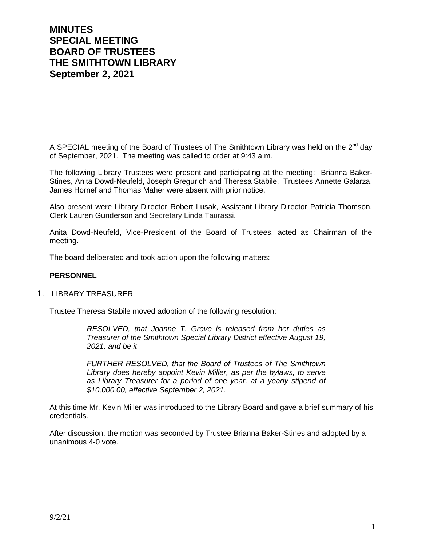# **MINUTES SPECIAL MEETING BOARD OF TRUSTEES THE SMITHTOWN LIBRARY September 2, 2021**

A SPECIAL meeting of the Board of Trustees of The Smithtown Library was held on the 2<sup>nd</sup> day of September, 2021. The meeting was called to order at 9:43 a.m.

The following Library Trustees were present and participating at the meeting: Brianna Baker-Stines, Anita Dowd-Neufeld, Joseph Gregurich and Theresa Stabile. Trustees Annette Galarza, James Hornef and Thomas Maher were absent with prior notice.

Also present were Library Director Robert Lusak, Assistant Library Director Patricia Thomson, Clerk Lauren Gunderson and Secretary Linda Taurassi.

Anita Dowd-Neufeld, Vice-President of the Board of Trustees, acted as Chairman of the meeting.

The board deliberated and took action upon the following matters:

#### **PERSONNEL**

## 1. LIBRARY TREASURER

Trustee Theresa Stabile moved adoption of the following resolution:

*RESOLVED, that Joanne T. Grove is released from her duties as Treasurer of the Smithtown Special Library District effective August 19, 2021; and be it*

*FURTHER RESOLVED, that the Board of Trustees of The Smithtown Library does hereby appoint Kevin Miller, as per the bylaws, to serve as Library Treasurer for a period of one year, at a yearly stipend of \$10,000.00, effective September 2, 2021.*

At this time Mr. Kevin Miller was introduced to the Library Board and gave a brief summary of his credentials.

After discussion, the motion was seconded by Trustee Brianna Baker-Stines and adopted by a unanimous 4-0 vote.